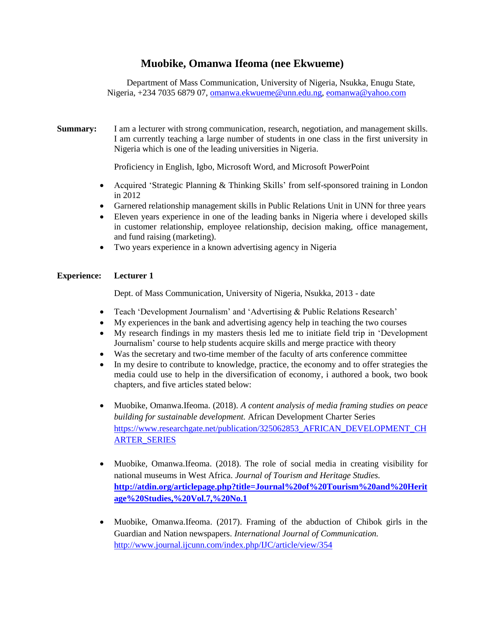# **Muobike, Omanwa Ifeoma (nee Ekwueme)**

Department of Mass Communication, University of Nigeria, Nsukka, Enugu State, Nigeria, +234 7035 6879 07, [omanwa.ekwueme@unn.edu.ng,](mailto:Omanwa.ekwueme@unn.edu.ng) [eomanwa@yahoo.com](mailto:eomanwa@yahoo.com)

**Summary:** I am a lecturer with strong communication, research, negotiation, and management skills. I am currently teaching a large number of students in one class in the first university in Nigeria which is one of the leading universities in Nigeria.

Proficiency in English, Igbo, Microsoft Word, and Microsoft PowerPoint

- Acquired 'Strategic Planning & Thinking Skills' from self-sponsored training in London in 2012
- Garnered relationship management skills in Public Relations Unit in UNN for three years
- Eleven years experience in one of the leading banks in Nigeria where i developed skills in customer relationship, employee relationship, decision making, office management, and fund raising (marketing).
- Two years experience in a known advertising agency in Nigeria

## **Experience: Lecturer 1**

Dept. of Mass Communication, University of Nigeria, Nsukka, 2013 - date

- Teach 'Development Journalism' and 'Advertising & Public Relations Research'
- My experiences in the bank and advertising agency help in teaching the two courses
- My research findings in my masters thesis led me to initiate field trip in 'Development Journalism' course to help students acquire skills and merge practice with theory
- Was the secretary and two-time member of the faculty of arts conference committee
- In my desire to contribute to knowledge, practice, the economy and to offer strategies the media could use to help in the diversification of economy, i authored a book, two book chapters, and five articles stated below:
- Muobike, Omanwa.Ifeoma. (2018). *A content analysis of media framing studies on peace building for sustainable development.* African Development Charter Series [https://www.researchgate.net/publication/325062853\\_AFRICAN\\_DEVELOPMENT\\_CH](https://www.researchgate.net/publication/325062853_AFRICAN_DEVELOPMENT_CHARTER_SERIES) [ARTER\\_SERIES](https://www.researchgate.net/publication/325062853_AFRICAN_DEVELOPMENT_CHARTER_SERIES)
- Muobike, Omanwa.Ifeoma. (2018). The role of social media in creating visibility for national museums in West Africa. *Journal of Tourism and Heritage Studies.*  **[http://atdin.org/articlepage.php?title=Journal%20of%20Tourism%20and%20Herit](http://atdin.org/articlepage.php?title=Journal%20of%20Tourism%20and%20Heritage%20Studies,%20Vol.7,%20No.1) [age%20Studies,%20Vol.7,%20No.1](http://atdin.org/articlepage.php?title=Journal%20of%20Tourism%20and%20Heritage%20Studies,%20Vol.7,%20No.1)**
- Muobike, Omanwa.Ifeoma. (2017). Framing of the abduction of Chibok girls in the Guardian and Nation newspapers. *International Journal of Communication.* <http://www.journal.ijcunn.com/index.php/IJC/article/view/354>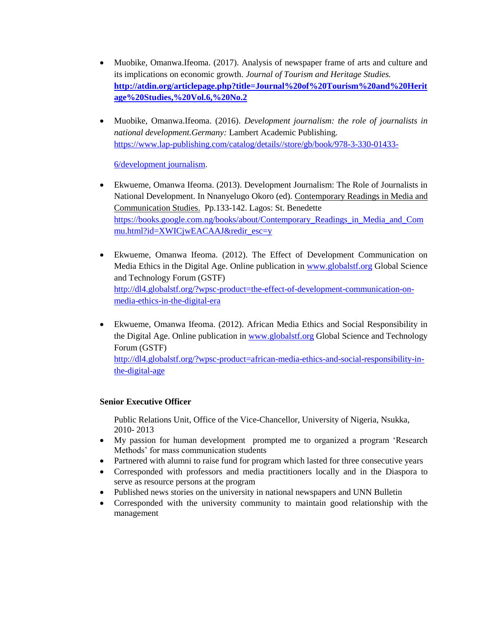- Muobike, Omanwa.Ifeoma. (2017). Analysis of newspaper frame of arts and culture and its implications on economic growth. *Journal of Tourism and Heritage Studies.* **[http://atdin.org/articlepage.php?title=Journal%20of%20Tourism%20and%20Herit](http://atdin.org/articlepage.php?title=Journal%20of%20Tourism%20and%20Heritage%20Studies,%20Vol.6,%20No.2) [age%20Studies,%20Vol.6,%20No.2](http://atdin.org/articlepage.php?title=Journal%20of%20Tourism%20and%20Heritage%20Studies,%20Vol.6,%20No.2)**
- Muobike, Omanwa.Ifeoma. (2016). *Development journalism: the role of journalists in national development.Germany:* Lambert Academic Publishing. [https://www.lap-publishing.com/catalog/details//store/gb/book/978-3-330-01433-](https://www.lap-publishing.com/catalog/details/store/gb/book/978-3-330-01433-6/development%20journalism)

[6/development journalism.](https://www.lap-publishing.com/catalog/details/store/gb/book/978-3-330-01433-6/development%20journalism)

- Ekwueme, Omanwa Ifeoma. (2013). Development Journalism: The Role of Journalists in National Development. In Nnanyelugo Okoro (ed). Contemporary Readings in Media and Communication Studies. Pp.133-142. Lagos: St. Benedette [https://books.google.com.ng/books/about/Contemporary\\_Readings\\_in\\_Media\\_and\\_Com](https://books.google.com.ng/books/about/Contemporary_Readings_in_Media_and_Commu.html?id=XWICjwEACAAJ&redir_esc=y) [mu.html?id=XWICjwEACAAJ&redir\\_esc=y](https://books.google.com.ng/books/about/Contemporary_Readings_in_Media_and_Commu.html?id=XWICjwEACAAJ&redir_esc=y)
- Ekwueme, Omanwa Ifeoma. (2012). The Effect of Development Communication on Media Ethics in the Digital Age. Online publication in [www.globalstf.org](http://www.globalstf.org/) Global Science and Technology Forum (GSTF) [http://dl4.globalstf.org/?wpsc-product=the-effect-of-development-communication-on](http://dl4.globalstf.org/?wpsc-product=the-effect-of-development-communication-on-media-ethics-in-the-digital-era)[media-ethics-in-the-digital-era](http://dl4.globalstf.org/?wpsc-product=the-effect-of-development-communication-on-media-ethics-in-the-digital-era)
- Ekwueme, Omanwa Ifeoma. (2012). African Media Ethics and Social Responsibility in the Digital Age. Online publication in [www.globalstf.org](http://www.globalstf.org/) Global Science and Technology Forum (GSTF)

[http://dl4.globalstf.org/?wpsc-product=african-media-ethics-and-social-responsibility-in](http://dl4.globalstf.org/?wpsc-product=african-media-ethics-and-social-responsibility-in-the-digital-age)[the-digital-age](http://dl4.globalstf.org/?wpsc-product=african-media-ethics-and-social-responsibility-in-the-digital-age)

### **Senior Executive Officer**

Public Relations Unit, Office of the Vice-Chancellor, University of Nigeria, Nsukka, 2010- 2013

- My passion for human development prompted me to organized a program 'Research Methods' for mass communication students
- Partnered with alumni to raise fund for program which lasted for three consecutive years
- Corresponded with professors and media practitioners locally and in the Diaspora to serve as resource persons at the program
- Published news stories on the university in national newspapers and UNN Bulletin
- Corresponded with the university community to maintain good relationship with the management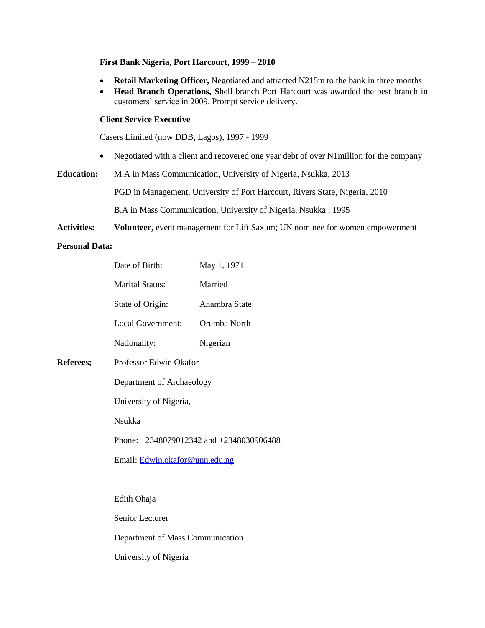#### **First Bank Nigeria, Port Harcourt, 1999 – 2010**

- **Retail Marketing Officer,** Negotiated and attracted N215m to the bank in three months
- **Head Branch Operations, S**hell branch Port Harcourt was awarded the best branch in customers' service in 2009. Prompt service delivery.

#### **Client Service Executive**

Casers Limited (now DDB, Lagos), 1997 - 1999

• Negotiated with a client and recovered one year debt of over N1million for the company

**Education:** M.A in Mass Communication, University of Nigeria, Nsukka, 2013

PGD in Management, University of Port Harcourt, Rivers State, Nigeria, 2010

B.A in Mass Communication, University of Nigeria, Nsukka , 1995

**Activities: Volunteer,** event management for Lift Saxum; UN nominee for women empowerment

#### **Personal Data:**

**Referees;** 

| Date of Birth:                               | May 1, 1971   |
|----------------------------------------------|---------------|
| Marital Status:                              | Married       |
| State of Origin:                             | Anambra State |
| Local Government:                            | Orumba North  |
| Nationality:                                 | Nigerian      |
| Professor Edwin Okafor                       |               |
| Department of Archaeology                    |               |
| University of Nigeria,                       |               |
| Nsukka                                       |               |
| Phone: $+2348079012342$ and $+2348030906488$ |               |
| Email: Edwin.okafor@unn.edu.ng               |               |
|                                              |               |
| Edith Ohaja                                  |               |
| Senior Lecturer                              |               |
| Department of Mass Communication             |               |
|                                              |               |

University of Nigeria